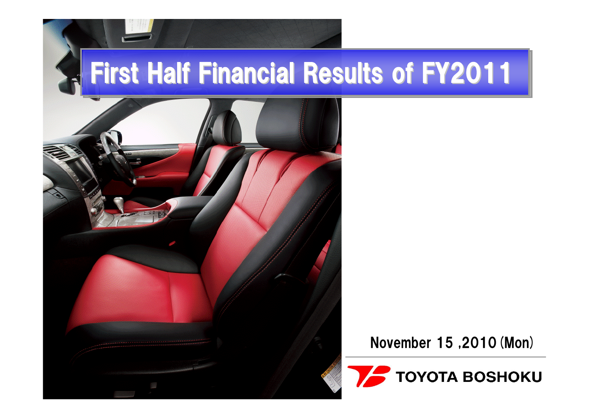# **First Half Financial Results of FY2011**



#### November 15 ,2010(Mon)

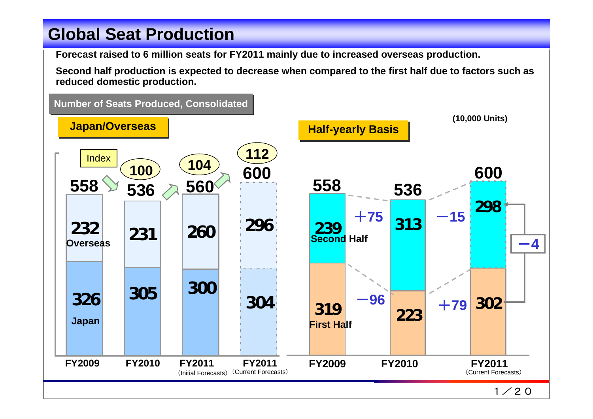#### **Global Seat Production Global Seat Production**

**Forecast raised to 6 million seats for FY2011 mainly due to increased overseas production.**

**Second half production is expected to decrease when compared to the first half due to factors such as reduced domestic production.**

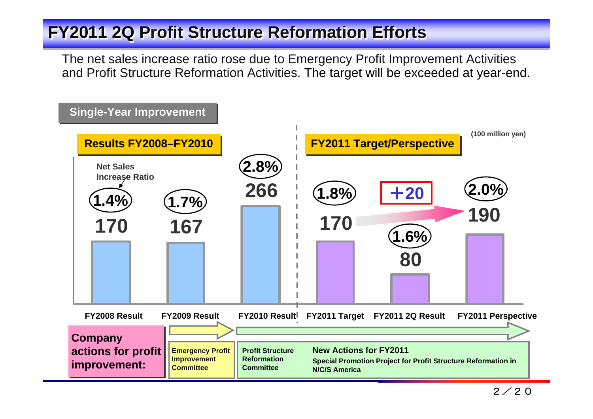#### **FY2011 2Q Profit Structure Reformation Efforts**

The net sales increase ratio rose due to Emergency Profit Improvement Activities and Profit Structure Reformation Activities. The target will be exceeded at year-end.

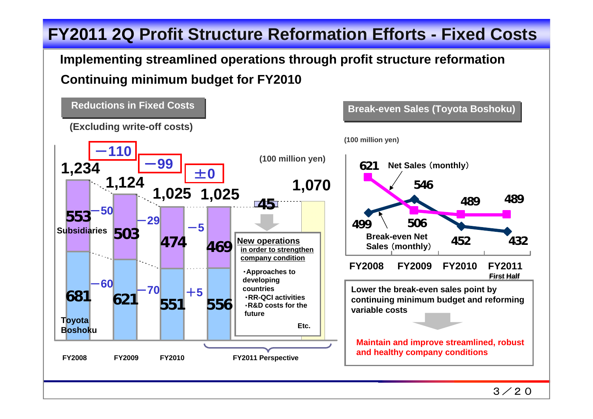### **FY2011 2Q Profit Structure Reformation Efforts - Fixed Costs FY2011 2Q Profit Structure Reformation Efforts - Fixed Costs**

#### **Continuing minimum budget for FY2010 Implementing streamlined operations through profit structure reformation**

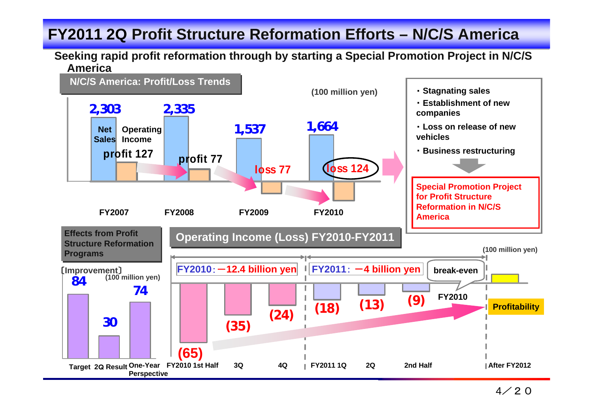#### **FY2011 2Q Profit Structure Reformation Efforts – N/C/S America FY2011 2Q Profit Structure Reformation Efforts – N/C/S America**

#### **Seeking rapid profit reformation through by starting a Special Promotion Project in N/C/S America**

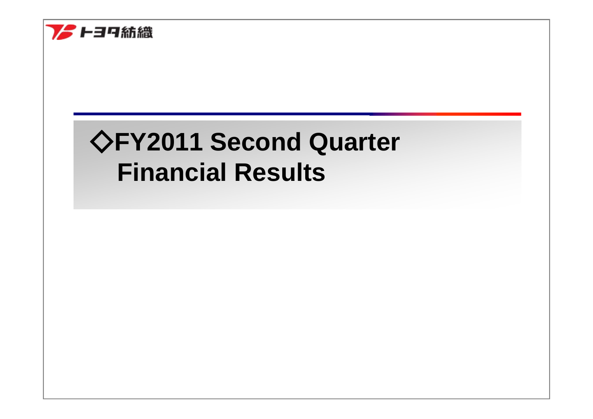

# ◇**FY2011 Second Quarter Financial Results**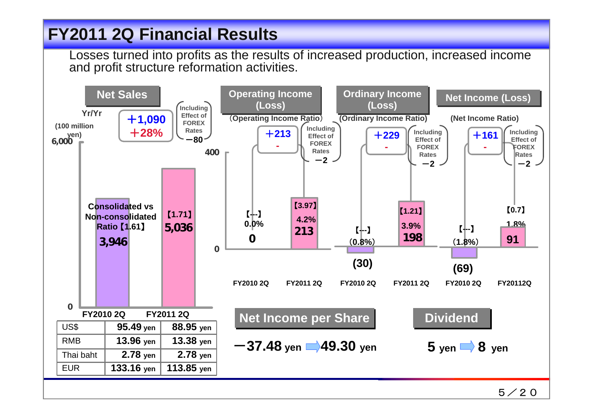#### **FY2011 2Q Financial Results FY2011 2Q Financial Results**

Losses turned into profits as the results of increased production, increased income and profit structure reformation activities.

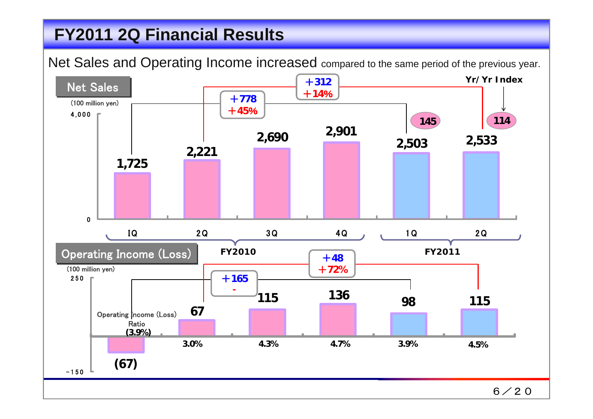#### **FY2011 2Q Financial Results FY2011 2Q Financial Results**

Net Sales and Operating Income increased compared to the same period of the previous year.

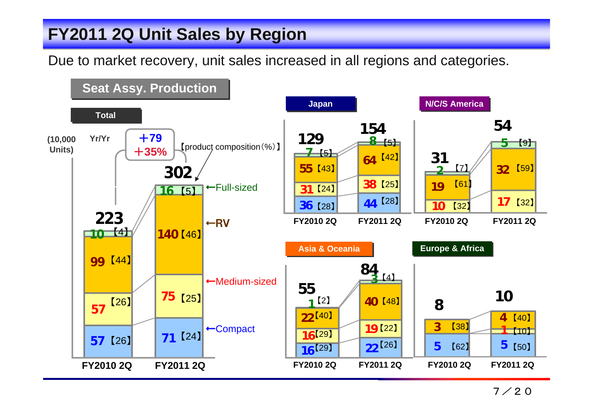### **FY2011 2Q Unit Sales by Region FY2011 2Q Unit Sales by Region**

Due to market recovery, unit sales increased in all regions and categories.

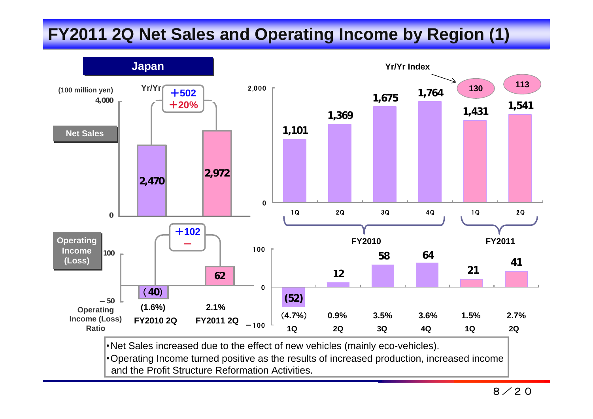# **FY2011 2Q Net Sales and Operating Income by Region (1) FY2011 2Q Net Sales and Operating Income by Region (1)**



・Operating Income turned positive as the results of increased production, increased income and the Profit Structure Reformation Activities.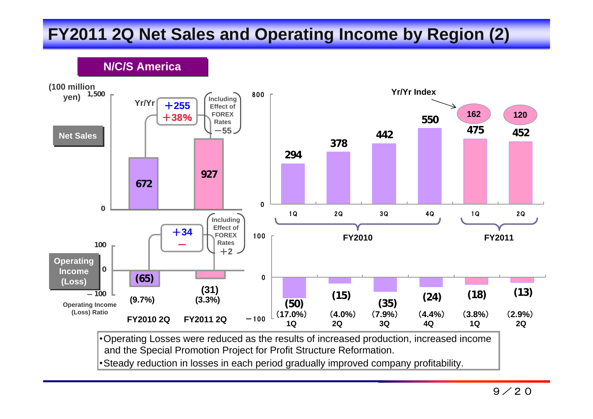# **FY2011 2Q Net Sales and Operating Income by Region (2) FY2011 2Q Net Sales and Operating Income by Region (2)**

**N/C/S America N/C/S America**



and the Special Promotion Project for Profit Structure Reformation.

・Steady reduction in losses in each period gradually improved company profitability.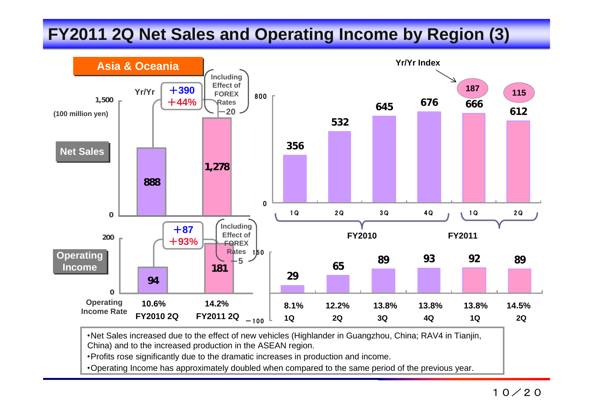# **FY2011 2Q Net Sales and Operating Income by Region (3) FY2011 2Q Net Sales and Operating Income by Region (3)**



・Net Sales increased due to the effect of new vehicles (Highlander in Guangzhou, China; RAV4 in Tianjin, China) and to the increased production in the ASEAN region.

・Profits rose significantly due to the dramatic increases in production and income.

・Operating Income has approximately doubled when compared to the same period of the previous year.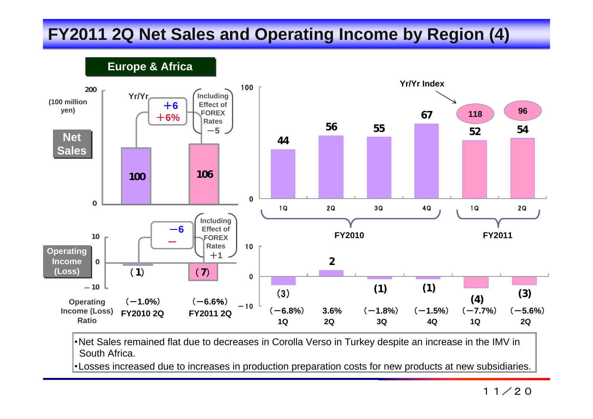# **FY2011 2Q Net Sales and Operating Income by Region (4) FY2011 2Q Net Sales and Operating Income by Region (4)**

**Europe & Africa Europe & Africa**



・Net Sales remained flat due to decreases in Corolla Verso in Turkey despite an increase in the IMV in South Africa.

・Losses increased due to increases in production preparation costs for new products at new subsidiaries.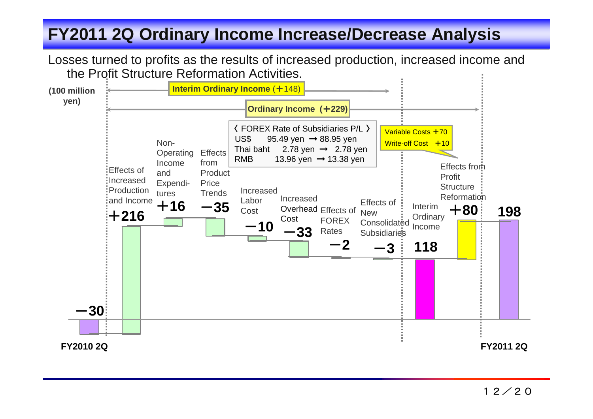### **FY2011 2Q Ordinary Income Increase/Decrease Analysis FY2011 2Q Ordinary Income Increase/Decrease Analysis**

Losses turned to profits as the results of increased production, increased income and the Profit Structure Reformation Activities.

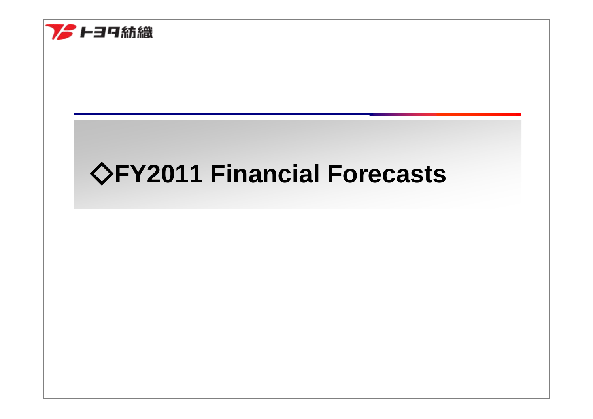

# ◇**FY2011 Financial Forecasts**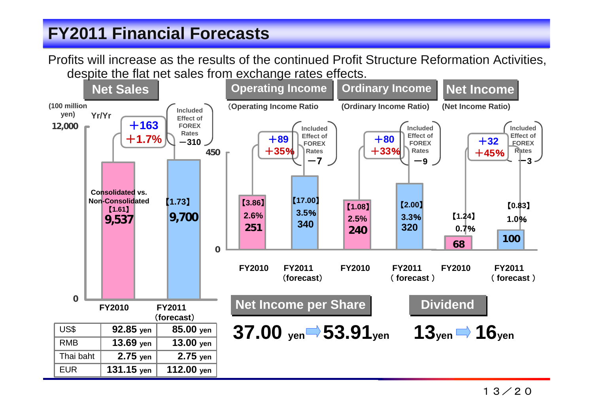#### **FY2011 Financial Forecasts FY2011 Financial Forecasts**

Profits will increase as the results of the continued Profit Structure Reformation Activities, despite the flat net sales from exchange rates effects.

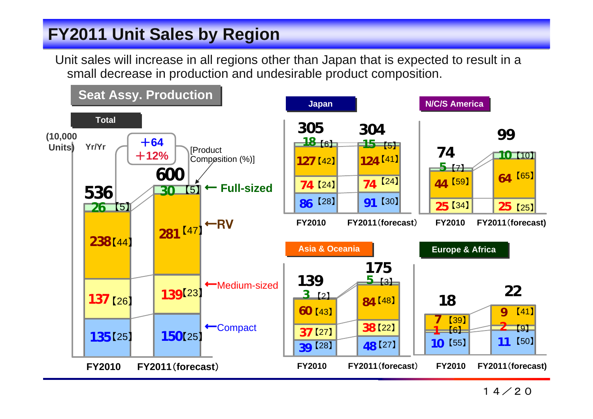#### **FY2011 Unit Sales by Region FY2011 Unit Sales by Region**

Unit sales will increase in all regions other than Japan that is expected to result in a small decrease in production and undesirable product composition.

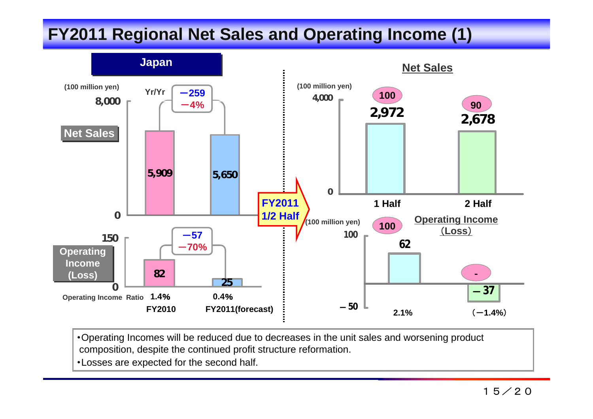## **FY2011 Regional Net Sales and Operating Income (1) FY2011 Regional Net Sales and Operating Income (1)**



・Operating Incomes will be reduced due to decreases in the unit sales and worsening product composition, despite the continued profit structure reformation.

・Losses are expected for the second half.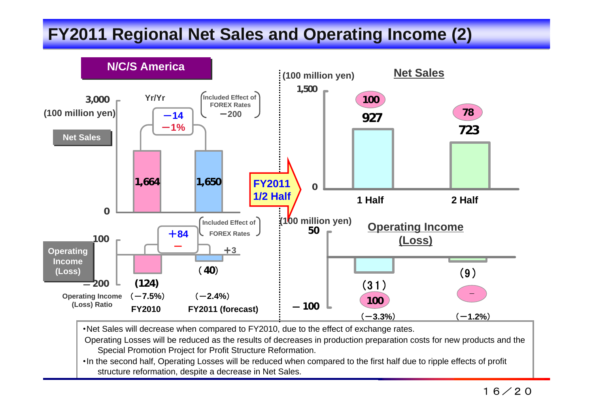# **FY2011 Regional Net Sales and Operating Income (2) FY2011 Regional Net Sales and Operating Income (2)**



・Net Sales will decrease when compared to FY2010, due to the effect of exchange rates.

Operating Losses will be reduced as the results of decreases in production preparation costs for new products and the Special Promotion Project for Profit Structure Reformation.

・In the second half, Operating Losses will be reduced when compared to the first half due to ripple effects of profit structure reformation, despite a decrease in Net Sales.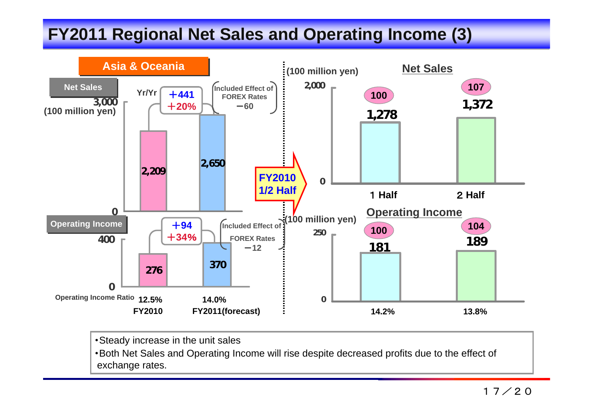# **FY2011 Regional Net Sales and Operating Income (3)**



・Steady increase in the unit sales

・Both Net Sales and Operating Income will rise despite decreased profits due to the effect of exchange rates.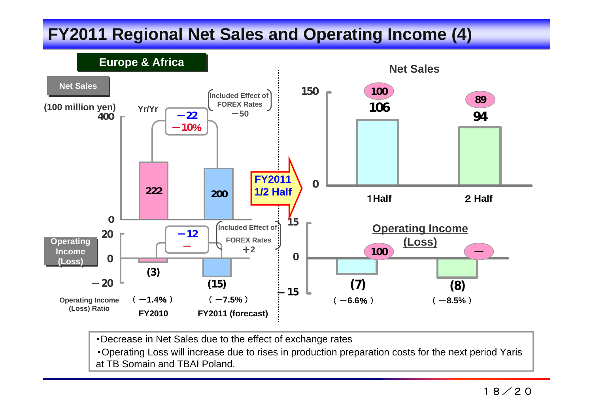# **FY2011 Regional Net Sales and Operating Income (4) FY2011 Regional Net Sales and Operating Income (4)**



・Decrease in Net Sales due to the effect of exchange rates

・Operating Loss will increase due to rises in production preparation costs for the next period Yaris at TB Somain and TBAI Poland.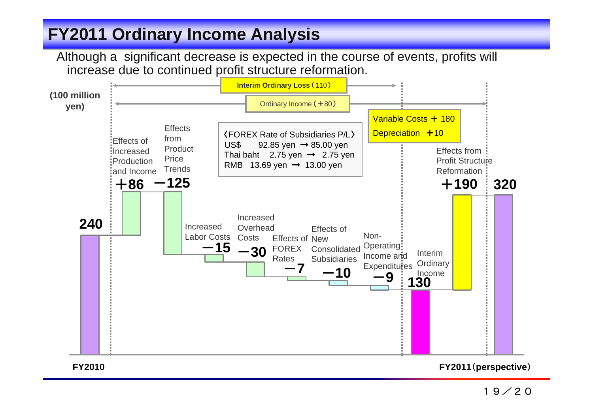### **FY2011 Ordinary Income Analysis FY2011 Ordinary Income Analysis**

Although a significant decrease is expected in the course of events, profits will increase due to continued profit structure reformation.



19/20